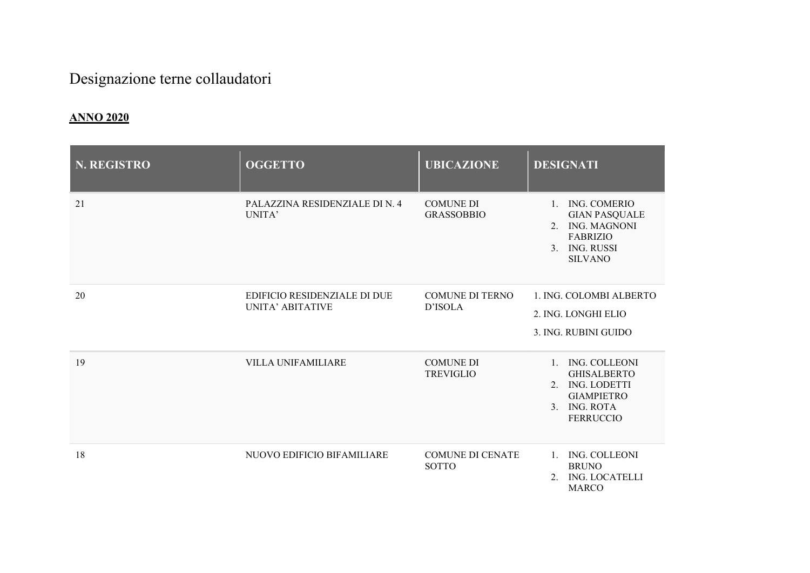## Designazione terne collaudatori

## ANNO 2020

| <b>N. REGISTRO</b> | <b>OGGETTO</b>                                   | <b>UBICAZIONE</b>                       | <b>DESIGNATI</b>                                                                                                                                                  |
|--------------------|--------------------------------------------------|-----------------------------------------|-------------------------------------------------------------------------------------------------------------------------------------------------------------------|
| 21                 | PALAZZINA RESIDENZIALE DI N. 4<br>UNITA'         | <b>COMUNE DI</b><br><b>GRASSOBBIO</b>   | ING. COMERIO<br>$1_{\cdot}$<br><b>GIAN PASQUALE</b><br><b>ING. MAGNONI</b><br>$2^{1}$<br><b>FABRIZIO</b><br><b>ING. RUSSI</b><br>3 <sub>1</sub><br><b>SILVANO</b> |
| 20                 | EDIFICIO RESIDENZIALE DI DUE<br>UNITA' ABITATIVE | <b>COMUNE DI TERNO</b><br>D'ISOLA       | 1. ING. COLOMBI ALBERTO<br>2. ING. LONGHI ELIO<br>3. ING. RUBINI GUIDO                                                                                            |
| 19                 | <b>VILLA UNIFAMILIARE</b>                        | <b>COMUNE DI</b><br><b>TREVIGLIO</b>    | 1. ING. COLLEONI<br><b>GHISALBERTO</b><br>2. ING. LODETTI<br><b>GIAMPIETRO</b><br><b>ING. ROTA</b><br>3 <sub>1</sub><br><b>FERRUCCIO</b>                          |
| 18                 | NUOVO EDIFICIO BIFAMILIARE                       | <b>COMUNE DI CENATE</b><br><b>SOTTO</b> | ING. COLLEONI<br>$1_{\cdots}$<br><b>BRUNO</b><br><b>ING. LOCATELLI</b><br>2.<br><b>MARCO</b>                                                                      |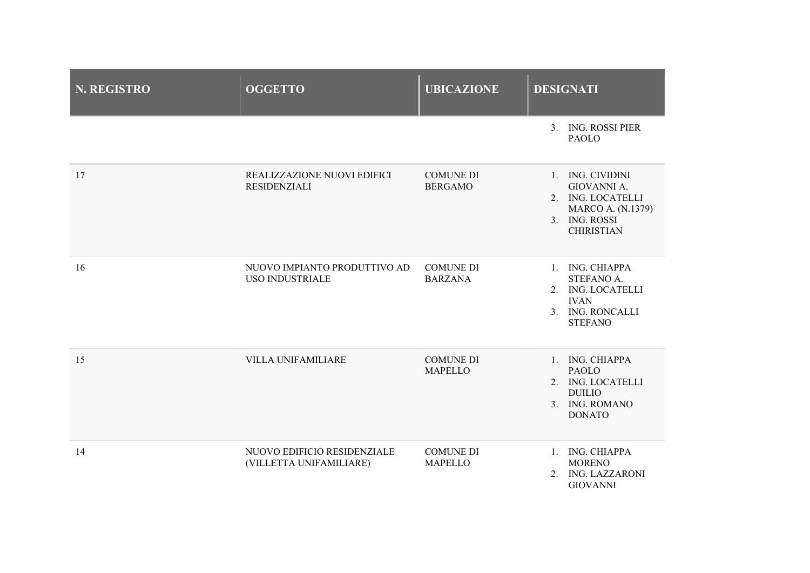| <b>N. REGISTRO</b> | <b>OGGETTO</b>                                         | <b>UBICAZIONE</b>                  | <b>DESIGNATI</b>                                                                                                       |
|--------------------|--------------------------------------------------------|------------------------------------|------------------------------------------------------------------------------------------------------------------------|
|                    |                                                        |                                    | 3. ING. ROSSI PIER<br><b>PAOLO</b>                                                                                     |
| 17                 | REALIZZAZIONE NUOVI EDIFICI<br>RESIDENZIALI            | <b>COMUNE DI</b><br><b>BERGAMO</b> | 1. ING. CIVIDINI<br>GIOVANNI A.<br>2. ING. LOCATELLI<br><b>MARCO A. (N.1379)</b><br>3. ING. ROSSI<br><b>CHIRISTIAN</b> |
| 16                 | NUOVO IMPIANTO PRODUTTIVO AD<br><b>USO INDUSTRIALE</b> | <b>COMUNE DI</b><br><b>BARZANA</b> | 1. ING. CHIAPPA<br>STEFANO A.<br>2. ING. LOCATELLI<br><b>IVAN</b><br>3. ING. RONCALLI<br><b>STEFANO</b>                |
| 15                 | <b>VILLA UNIFAMILIARE</b>                              | <b>COMUNE DI</b><br><b>MAPELLO</b> | 1. ING. CHIAPPA<br><b>PAOLO</b><br>2. ING. LOCATELLI<br><b>DUILIO</b><br>3. ING. ROMANO<br><b>DONATO</b>               |
| 14                 | NUOVO EDIFICIO RESIDENZIALE<br>(VILLETTA UNIFAMILIARE) | <b>COMUNE DI</b><br><b>MAPELLO</b> | 1. ING. CHIAPPA<br><b>MORENO</b><br>2. ING. LAZZARONI<br><b>GIOVANNI</b>                                               |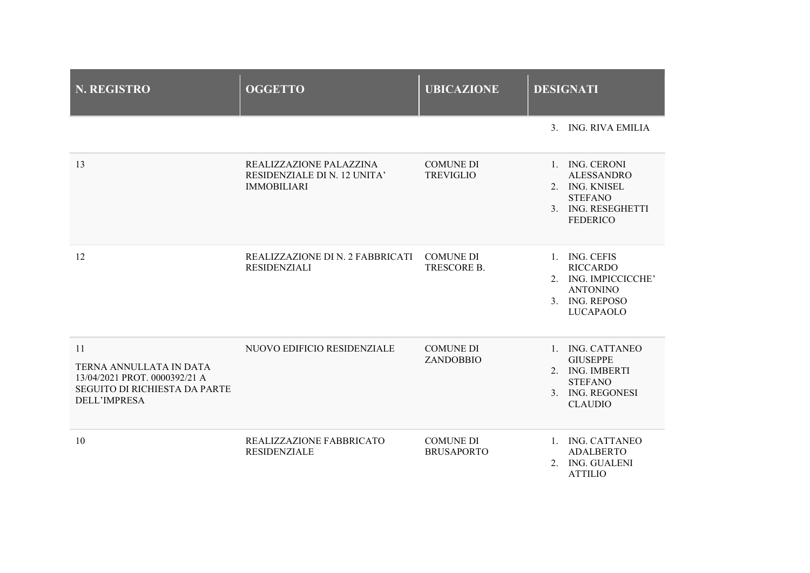| <b>N. REGISTRO</b>                                                                                                     | <b>OGGETTO</b>                                                                | <b>UBICAZIONE</b>                     | <b>DESIGNATI</b>                                                                                                  |
|------------------------------------------------------------------------------------------------------------------------|-------------------------------------------------------------------------------|---------------------------------------|-------------------------------------------------------------------------------------------------------------------|
|                                                                                                                        |                                                                               |                                       | 3. ING. RIVA EMILIA                                                                                               |
| 13                                                                                                                     | REALIZZAZIONE PALAZZINA<br>RESIDENZIALE DI N. 12 UNITA'<br><b>IMMOBILIARI</b> | <b>COMUNE DI</b><br><b>TREVIGLIO</b>  | 1. ING. CERONI<br><b>ALESSANDRO</b><br>2. ING. KNISEL<br><b>STEFANO</b><br>3. ING. RESEGHETTI<br><b>FEDERICO</b>  |
| 12                                                                                                                     | REALIZZAZIONE DI N. 2 FABBRICATI<br><b>RESIDENZIALI</b>                       | <b>COMUNE DI</b><br>TRESCORE B.       | 1. ING. CEFIS<br><b>RICCARDO</b><br>2. ING. IMPICCICCHE'<br><b>ANTONINO</b><br>3. ING. REPOSO<br><b>LUCAPAOLO</b> |
| 11<br>TERNA ANNULLATA IN DATA<br>13/04/2021 PROT. 0000392/21 A<br>SEGUITO DI RICHIESTA DA PARTE<br><b>DELL'IMPRESA</b> | NUOVO EDIFICIO RESIDENZIALE                                                   | <b>COMUNE DI</b><br>ZANDOBBIO         | 1. ING. CATTANEO<br><b>GIUSEPPE</b><br>2. ING. IMBERTI<br><b>STEFANO</b><br>3. ING. REGONESI<br><b>CLAUDIO</b>    |
| 10                                                                                                                     | REALIZZAZIONE FABBRICATO<br><b>RESIDENZIALE</b>                               | <b>COMUNE DI</b><br><b>BRUSAPORTO</b> | 1. ING. CATTANEO<br><b>ADALBERTO</b><br>2. ING. GUALENI<br><b>ATTILIO</b>                                         |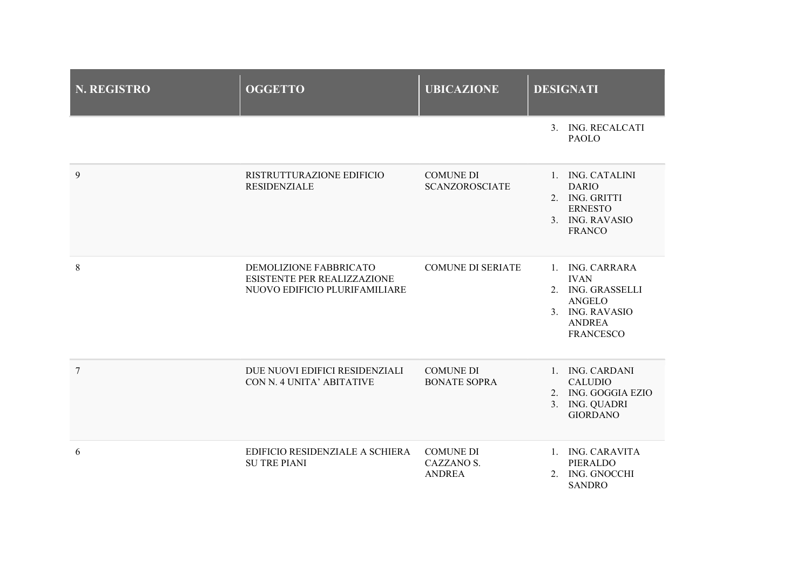| <b>N. REGISTRO</b> | <b>OGGETTO</b>                                                                         | <b>UBICAZIONE</b>                               | <b>DESIGNATI</b>                                                                                                             |
|--------------------|----------------------------------------------------------------------------------------|-------------------------------------------------|------------------------------------------------------------------------------------------------------------------------------|
|                    |                                                                                        |                                                 | 3. ING. RECALCATI<br><b>PAOLO</b>                                                                                            |
| 9                  | RISTRUTTURAZIONE EDIFICIO<br>RESIDENZIALE                                              | <b>COMUNE DI</b><br><b>SCANZOROSCIATE</b>       | 1. ING. CATALINI<br><b>DARIO</b><br>2. ING. GRITTI<br><b>ERNESTO</b><br>3. ING. RAVASIO<br><b>FRANCO</b>                     |
| 8                  | DEMOLIZIONE FABBRICATO<br>ESISTENTE PER REALIZZAZIONE<br>NUOVO EDIFICIO PLURIFAMILIARE | <b>COMUNE DI SERIATE</b>                        | 1. ING. CARRARA<br><b>IVAN</b><br>2. ING. GRASSELLI<br><b>ANGELO</b><br>3. ING. RAVASIO<br><b>ANDREA</b><br><b>FRANCESCO</b> |
| $\overline{7}$     | DUE NUOVI EDIFICI RESIDENZIALI<br>CON N. 4 UNITA' ABITATIVE                            | <b>COMUNE DI</b><br><b>BONATE SOPRA</b>         | 1. ING. CARDANI<br><b>CALUDIO</b><br>2. ING. GOGGIA EZIO<br>3. ING. QUADRI<br><b>GIORDANO</b>                                |
| 6                  | EDIFICIO RESIDENZIALE A SCHIERA<br><b>SU TRE PIANI</b>                                 | <b>COMUNE DI</b><br>CAZZANO S.<br><b>ANDREA</b> | 1. ING. CARAVITA<br>PIERALDO<br>2. ING. GNOCCHI<br><b>SANDRO</b>                                                             |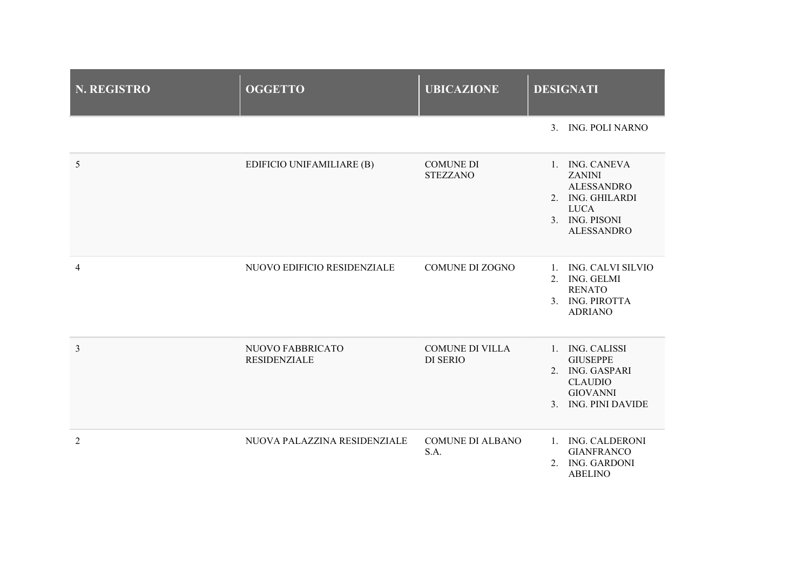| <b>N. REGISTRO</b>       | <b>OGGETTO</b>                          | <b>UBICAZIONE</b>                         | <b>DESIGNATI</b>                                                                                                               |
|--------------------------|-----------------------------------------|-------------------------------------------|--------------------------------------------------------------------------------------------------------------------------------|
|                          |                                         |                                           | 3. ING. POLI NARNO                                                                                                             |
| 5                        | EDIFICIO UNIFAMILIARE (B)               | <b>COMUNE DI</b><br><b>STEZZANO</b>       | 1. ING. CANEVA<br><b>ZANINI</b><br><b>ALESSANDRO</b><br>2. ING. GHILARDI<br><b>LUCA</b><br>3. ING. PISONI<br><b>ALESSANDRO</b> |
| $\overline{\mathcal{L}}$ | NUOVO EDIFICIO RESIDENZIALE             | <b>COMUNE DI ZOGNO</b>                    | 1. ING. CALVI SILVIO<br>2. ING. GELMI<br><b>RENATO</b><br>3. ING. PIROTTA<br><b>ADRIANO</b>                                    |
| $\overline{3}$           | NUOVO FABBRICATO<br><b>RESIDENZIALE</b> | <b>COMUNE DI VILLA</b><br><b>DI SERIO</b> | 1. ING. CALISSI<br><b>GIUSEPPE</b><br>2. ING. GASPARI<br><b>CLAUDIO</b><br><b>GIOVANNI</b><br>3. ING. PINI DAVIDE              |
| 2                        | NUOVA PALAZZINA RESIDENZIALE            | <b>COMUNE DI ALBANO</b><br>S.A.           | 1. ING. CALDERONI<br><b>GIANFRANCO</b><br>2. ING. GARDONI<br><b>ABELINO</b>                                                    |